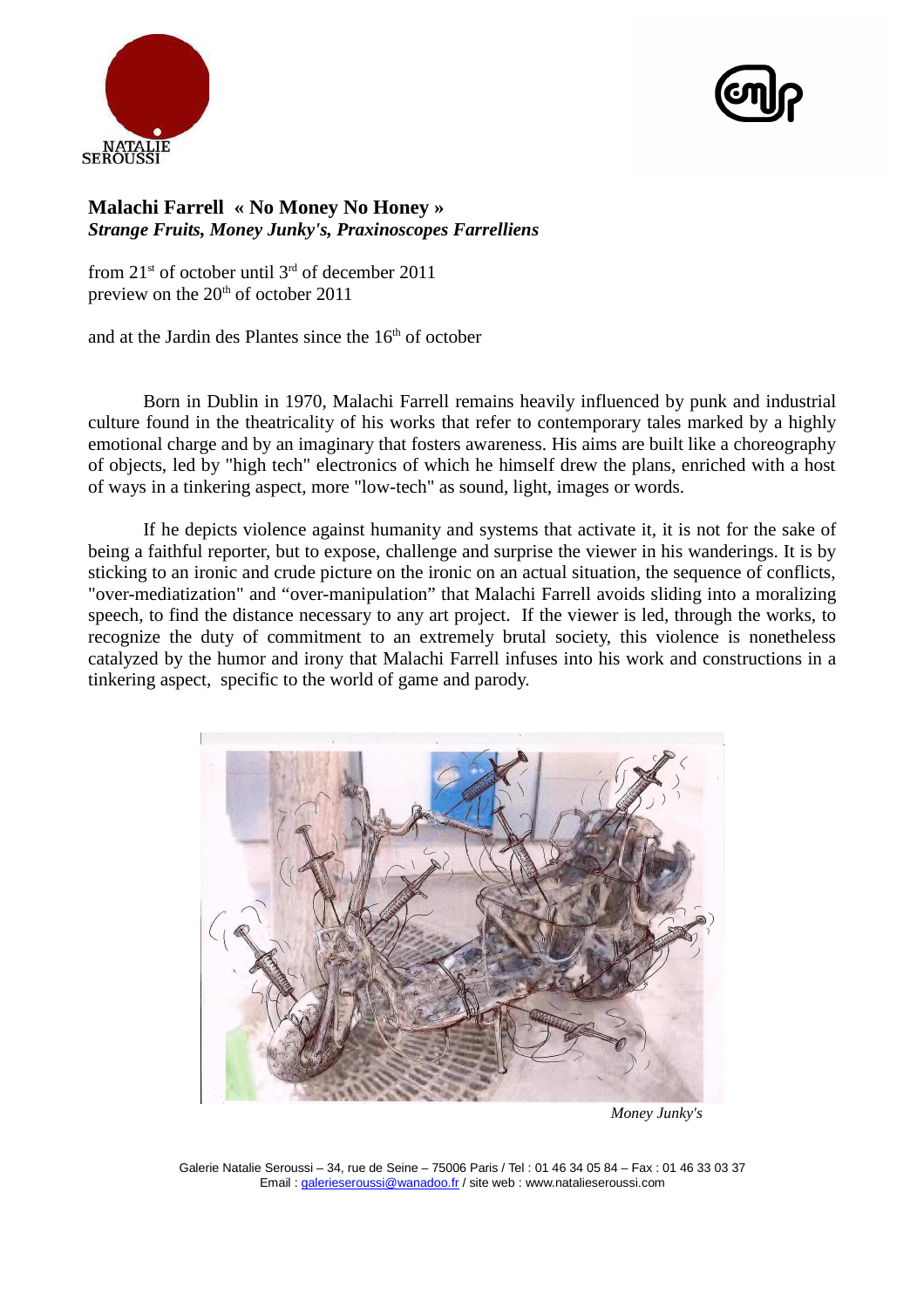



## **Malachi Farrell « No Money No Honey »** *Strange Fruits, Money Junky's, Praxinoscopes Farrelliens*

from  $21<sup>st</sup>$  of october until  $3<sup>rd</sup>$  of december 2011 preview on the  $20<sup>th</sup>$  of october 2011

and at the Jardin des Plantes since the 16<sup>th</sup> of october

Born in Dublin in 1970, Malachi Farrell remains heavily influenced by punk and industrial culture found in the theatricality of his works that refer to contemporary tales marked by a highly emotional charge and by an imaginary that fosters awareness. His aims are built like a choreography of objects, led by "high tech" electronics of which he himself drew the plans, enriched with a host of ways in a tinkering aspect, more "low-tech" as sound, light, images or words.

If he depicts violence against humanity and systems that activate it, it is not for the sake of being a faithful reporter, but to expose, challenge and surprise the viewer in his wanderings. It is by sticking to an ironic and crude picture on the ironic on an actual situation, the sequence of conflicts, "over-mediatization" and "over-manipulation" that Malachi Farrell avoids sliding into a moralizing speech, to find the distance necessary to any art project. If the viewer is led, through the works, to recognize the duty of commitment to an extremely brutal society, this violence is nonetheless catalyzed by the humor and irony that Malachi Farrell infuses into his work and constructions in a tinkering aspect, specific to the world of game and parody.



 *Money Junky's*

Galerie Natalie Seroussi – 34, rue de Seine – 75006 Paris / Tel : 01 46 34 05 84 – Fax : 01 46 33 03 37 Email : galerieseroussi@wanadoo.fr / site web : www.natalieseroussi.com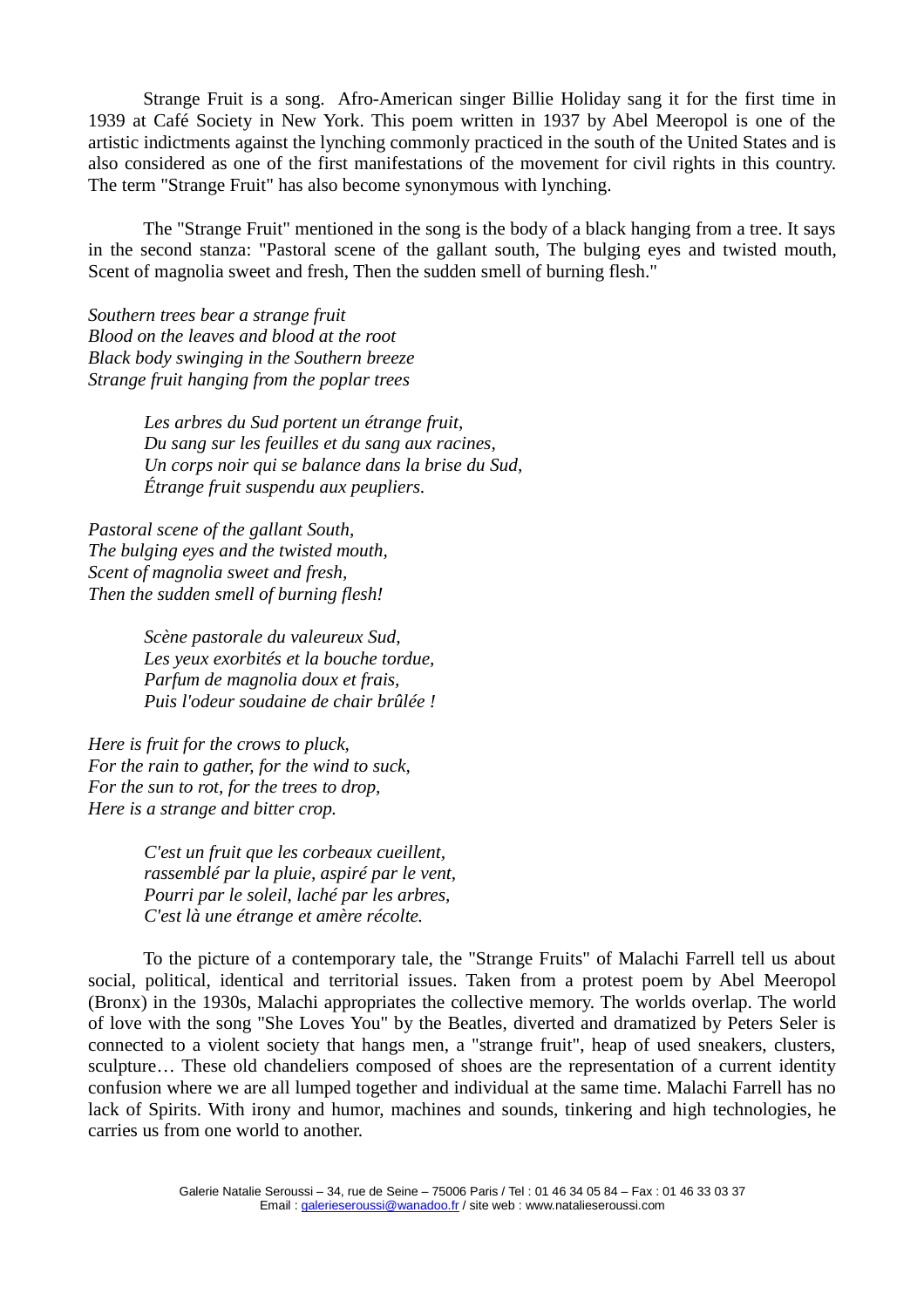Strange Fruit is a song. Afro-American singer Billie Holiday sang it for the first time in 1939 at Café Society in New York. This poem written in 1937 by Abel Meeropol is one of the artistic indictments against the lynching commonly practiced in the south of the United States and is also considered as one of the first manifestations of the movement for civil rights in this country. The term "Strange Fruit" has also become synonymous with lynching.

The "Strange Fruit" mentioned in the song is the body of a black hanging from a tree. It says in the second stanza: "Pastoral scene of the gallant south, The bulging eyes and twisted mouth, Scent of magnolia sweet and fresh, Then the sudden smell of burning flesh."

*Southern trees bear a strange fruit Blood on the leaves and blood at the root Black body swinging in the Southern breeze Strange fruit hanging from the poplar trees*

> *Les arbres du Sud portent un étrange fruit, Du sang sur les feuilles et du sang aux racines, Un corps noir qui se balance dans la brise du Sud, Étrange fruit suspendu aux peupliers.*

*Pastoral scene of the gallant South, The bulging eyes and the twisted mouth, Scent of magnolia sweet and fresh, Then the sudden smell of burning flesh!*

> *Scène pastorale du valeureux Sud, Les yeux exorbités et la bouche tordue, Parfum de magnolia doux et frais, Puis l'odeur soudaine de chair brûlée !*

*Here is fruit for the crows to pluck, For the rain to gather, for the wind to suck, For the sun to rot, for the trees to drop, Here is a strange and bitter crop.*

> *C'est un fruit que les corbeaux cueillent, rassemblé par la pluie, aspiré par le vent, Pourri par le soleil, laché par les arbres, C'est là une étrange et amère récolte.*

To the picture of a contemporary tale, the "Strange Fruits" of Malachi Farrell tell us about social, political, identical and territorial issues. Taken from a protest poem by Abel Meeropol (Bronx) in the 1930s, Malachi appropriates the collective memory. The worlds overlap. The world of love with the song "She Loves You" by the Beatles, diverted and dramatized by Peters Seler is connected to a violent society that hangs men, a "strange fruit", heap of used sneakers, clusters, sculpture... These old chandeliers composed of shoes are the representation of a current identity confusion where we are all lumped together and individual at the same time. Malachi Farrell has no lack of Spirits. With irony and humor, machines and sounds, tinkering and high technologies, he carries us from one world to another.